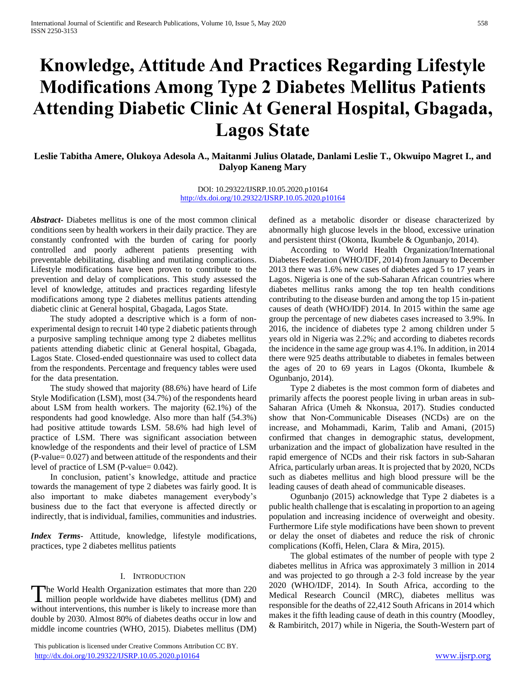# **Knowledge, Attitude And Practices Regarding Lifestyle Modifications Among Type 2 Diabetes Mellitus Patients Attending Diabetic Clinic At General Hospital, Gbagada, Lagos State**

**Leslie Tabitha Amere, Olukoya Adesola A., Maitanmi Julius Olatade, Danlami Leslie T., Okwuipo Magret I., and Dalyop Kaneng Mary**

> DOI: 10.29322/IJSRP.10.05.2020.p10164 <http://dx.doi.org/10.29322/IJSRP.10.05.2020.p10164>

*Abstract***-** Diabetes mellitus is one of the most common clinical conditions seen by health workers in their daily practice. They are constantly confronted with the burden of caring for poorly controlled and poorly adherent patients presenting with preventable debilitating, disabling and mutilating complications. Lifestyle modifications have been proven to contribute to the prevention and delay of complications. This study assessed the level of knowledge, attitudes and practices regarding lifestyle modifications among type 2 diabetes mellitus patients attending diabetic clinic at General hospital, Gbagada, Lagos State.

 The study adopted a descriptive which is a form of nonexperimental design to recruit 140 type 2 diabetic patients through a purposive sampling technique among type 2 diabetes mellitus patients attending diabetic clinic at General hospital, Gbagada, Lagos State. Closed-ended questionnaire was used to collect data from the respondents. Percentage and frequency tables were used for the data presentation.

 The study showed that majority (88.6%) have heard of Life Style Modification (LSM), most (34.7%) of the respondents heard about LSM from health workers. The majority (62.1%) of the respondents had good knowledge. Also more than half (54.3%) had positive attitude towards LSM. 58.6% had high level of practice of LSM. There was significant association between knowledge of the respondents and their level of practice of LSM (P-value= 0.027) and between attitude of the respondents and their level of practice of LSM (P-value= 0.042).

 In conclusion, patient's knowledge, attitude and practice towards the management of type 2 diabetes was fairly good. It is also important to make diabetes management everybody's business due to the fact that everyone is affected directly or indirectly, that is individual, families, communities and industries.

*Index Terms*- Attitude, knowledge, lifestyle modifications, practices, type 2 diabetes mellitus patients

#### I. INTRODUCTION

he World Health Organization estimates that more than 220 The World Health Organization estimates that more than 220 million people worldwide have diabetes mellitus (DM) and without interventions, this number is likely to increase more than double by 2030. Almost 80% of diabetes deaths occur in low and middle income countries (WHO, 2015). Diabetes mellitus (DM)

 This publication is licensed under Creative Commons Attribution CC BY. <http://dx.doi.org/10.29322/IJSRP.10.05.2020.p10164> [www.ijsrp.org](http://ijsrp.org/)

defined as a metabolic disorder or disease characterized by abnormally high glucose levels in the blood, excessive urination and persistent thirst (Okonta, Ikumbele & Ogunbanjo, 2014).

 According to World Health Organization/International Diabetes Federation (WHO/IDF, 2014) from January to December 2013 there was 1.6% new cases of diabetes aged 5 to 17 years in Lagos. Nigeria is one of the sub-Saharan African countries where diabetes mellitus ranks among the top ten health conditions contributing to the disease burden and among the top 15 in-patient causes of death (WHO/IDF) 2014. In 2015 within the same age group the percentage of new diabetes cases increased to 3.9%. In 2016, the incidence of diabetes type 2 among children under 5 years old in Nigeria was 2.2%; and according to diabetes records the incidence in the same age group was 4.1%. In addition, in 2014 there were 925 deaths attributable to diabetes in females between the ages of 20 to 69 years in Lagos (Okonta, Ikumbele  $\&$ Ogunbanjo, 2014).

 Type 2 diabetes is the most common form of diabetes and primarily affects the poorest people living in urban areas in sub-Saharan Africa (Umeh & Nkonsua, 2017). Studies conducted show that Non-Communicable Diseases (NCDs) are on the increase, and Mohammadi, Karim, Talib and Amani, (2015) confirmed that changes in demographic status, development, urbanization and the impact of globalization have resulted in the rapid emergence of NCDs and their risk factors in sub-Saharan Africa, particularly urban areas. It is projected that by 2020, NCDs such as diabetes mellitus and high blood pressure will be the leading causes of death ahead of communicable diseases.

 Ogunbanjo (2015) acknowledge that Type 2 diabetes is a public health challenge that is escalating in proportion to an ageing population and increasing incidence of overweight and obesity. Furthermore Life style modifications have been shown to prevent or delay the onset of diabetes and reduce the risk of chronic complications (Koffi, Helen, Clara & Mira, 2015).

 The global estimates of the number of people with type 2 diabetes mellitus in Africa was approximately 3 million in 2014 and was projected to go through a 2-3 fold increase by the year 2020 (WHO/IDF, 2014). In South Africa, according to the Medical Research Council (MRC), diabetes mellitus was responsible for the deaths of 22,412 South Africans in 2014 which makes it the fifth leading cause of death in this country (Moodley, & Rambiritch, 2017) while in Nigeria, the South-Western part of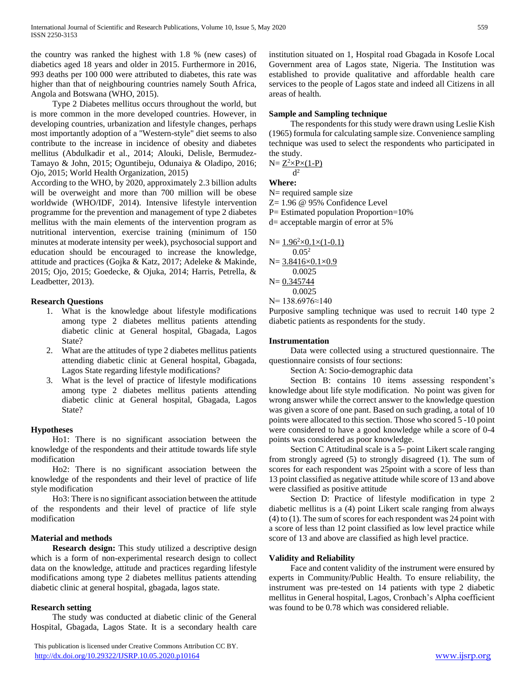the country was ranked the highest with 1.8 % (new cases) of diabetics aged 18 years and older in 2015. Furthermore in 2016, 993 deaths per 100 000 were attributed to diabetes, this rate was higher than that of neighbouring countries namely South Africa, Angola and Botswana (WHO, 2015).

 Type 2 Diabetes mellitus occurs throughout the world, but is more common in the more developed countries. However, in developing countries, urbanization and lifestyle changes, perhaps most importantly adoption of a "Western-style" diet seems to also contribute to the increase in incidence of obesity and diabetes mellitus (Abdulkadir et al., 2014; Alouki, Delisle, Bermudez-Tamayo & John, 2015; Oguntibeju, Odunaiya & Oladipo, 2016; Ojo, 2015; World Health Organization, 2015)

According to the WHO, by 2020, approximately 2.3 billion adults will be overweight and more than 700 million will be obese worldwide (WHO/IDF, 2014). Intensive lifestyle intervention programme for the prevention and management of type 2 diabetes mellitus with the main elements of the intervention program as nutritional intervention, exercise training (minimum of 150 minutes at moderate intensity per week), psychosocial support and education should be encouraged to increase the knowledge, attitude and practices (Gojka & Katz, 2017; Adeleke & Makinde, 2015; Ojo, 2015; Goedecke, & Ojuka, 2014; Harris, Petrella, & Leadbetter, 2013).

# **Research Questions**

- 1. What is the knowledge about lifestyle modifications among type 2 diabetes mellitus patients attending diabetic clinic at General hospital, Gbagada, Lagos State?
- 2. What are the attitudes of type 2 diabetes mellitus patients attending diabetic clinic at General hospital, Gbagada, Lagos State regarding lifestyle modifications?
- 3. What is the level of practice of lifestyle modifications among type 2 diabetes mellitus patients attending diabetic clinic at General hospital, Gbagada, Lagos State?

# **Hypotheses**

 Ho1: There is no significant association between the knowledge of the respondents and their attitude towards life style modification

 Ho2: There is no significant association between the knowledge of the respondents and their level of practice of life style modification

 Ho3: There is no significant association between the attitude of the respondents and their level of practice of life style modification

#### **Material and methods**

 **Research design:** This study utilized a descriptive design which is a form of non-experimental research design to collect data on the knowledge, attitude and practices regarding lifestyle modifications among type 2 diabetes mellitus patients attending diabetic clinic at general hospital, gbagada, lagos state.

#### **Research setting**

 The study was conducted at diabetic clinic of the General Hospital, Gbagada, Lagos State. It is a secondary health care

 This publication is licensed under Creative Commons Attribution CC BY. <http://dx.doi.org/10.29322/IJSRP.10.05.2020.p10164> [www.ijsrp.org](http://ijsrp.org/)

institution situated on 1, Hospital road Gbagada in Kosofe Local Government area of Lagos state, Nigeria. The Institution was established to provide qualitative and affordable health care services to the people of Lagos state and indeed all Citizens in all areas of health.

#### **Sample and Sampling technique**

 The respondents for this study were drawn using Leslie Kish (1965) formula for calculating sample size. Convenience sampling technique was used to select the respondents who participated in the study.

$$
N = \frac{Z^2 \times P \times (1-P)}{P}
$$

 $d^2$ **Where:**

N= required sample size

Z= 1.96 @ 95% Confidence Level

P= Estimated population Proportion=10%

d= acceptable margin of error at 5%

$$
N = \frac{1.96^{2} \times 0.1 \times (1-0.1)}{0.05^{2}}
$$

$$
N = \frac{3.8416 \times 0.1 \times 0.9}{0.0025}
$$

$$
N = \frac{0.345744}{0.0025}
$$

N= 138.6976≈140

Purposive sampling technique was used to recruit 140 type 2 diabetic patients as respondents for the study.

### **Instrumentation**

 Data were collected using a structured questionnaire. The questionnaire consists of four sections:

Section A: Socio-demographic data

 Section B: contains 10 items assessing respondent's knowledge about life style modification. No point was given for wrong answer while the correct answer to the knowledge question was given a score of one pant. Based on such grading, a total of 10 points were allocated to this section. Those who scored 5 -10 point were considered to have a good knowledge while a score of 0-4 points was considered as poor knowledge.

 Section C Attitudinal scale is a 5- point Likert scale ranging from strongly agreed (5) to strongly disagreed (1). The sum of scores for each respondent was 25point with a score of less than 13 point classified as negative attitude while score of 13 and above were classified as positive attitude

 Section D: Practice of lifestyle modification in type 2 diabetic mellitus is a (4) point Likert scale ranging from always (4) to (1). The sum of scores for each respondent was 24 point with a score of less than 12 point classified as low level practice while score of 13 and above are classified as high level practice.

#### **Validity and Reliability**

 Face and content validity of the instrument were ensured by experts in Community/Public Health. To ensure reliability, the instrument was pre-tested on 14 patients with type 2 diabetic mellitus in General hospital, Lagos, Cronbach's Alpha coefficient was found to be 0.78 which was considered reliable.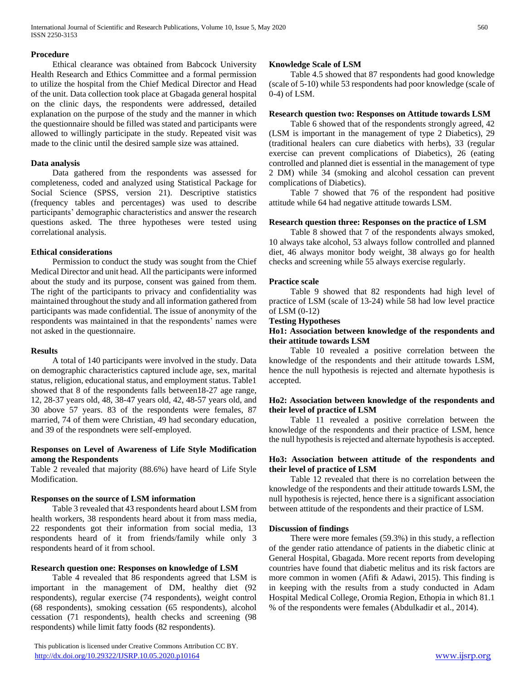International Journal of Scientific and Research Publications, Volume 10, Issue 5, May 2020 560 ISSN 2250-3153

#### **Procedure**

 Ethical clearance was obtained from Babcock University Health Research and Ethics Committee and a formal permission to utilize the hospital from the Chief Medical Director and Head of the unit. Data collection took place at Gbagada general hospital on the clinic days, the respondents were addressed, detailed explanation on the purpose of the study and the manner in which the questionnaire should be filled was stated and participants were allowed to willingly participate in the study. Repeated visit was made to the clinic until the desired sample size was attained.

#### **Data analysis**

 Data gathered from the respondents was assessed for completeness, coded and analyzed using Statistical Package for Social Science (SPSS, version 21). Descriptive statistics (frequency tables and percentages) was used to describe participants' demographic characteristics and answer the research questions asked. The three hypotheses were tested using correlational analysis.

#### **Ethical considerations**

 Permission to conduct the study was sought from the Chief Medical Director and unit head. All the participants were informed about the study and its purpose, consent was gained from them. The right of the participants to privacy and confidentiality was maintained throughout the study and all information gathered from participants was made confidential. The issue of anonymity of the respondents was maintained in that the respondents' names were not asked in the questionnaire.

#### **Results**

 A total of 140 participants were involved in the study. Data on demographic characteristics captured include age, sex, marital status, religion, educational status, and employment status. Table1 showed that 8 of the respondents falls between18-27 age range, 12, 28-37 years old, 48, 38-47 years old, 42, 48-57 years old, and 30 above 57 years. 83 of the respondents were females, 87 married, 74 of them were Christian, 49 had secondary education, and 39 of the respondnets were self-employed.

#### **Responses on Level of Awareness of Life Style Modification among the Respondents**

Table 2 revealed that majority (88.6%) have heard of Life Style Modification.

#### **Responses on the source of LSM information**

 Table 3 revealed that 43 respondents heard about LSM from health workers, 38 respondents heard about it from mass media, 22 respondents got their information from social media, 13 respondents heard of it from friends/family while only 3 respondents heard of it from school.

#### **Research question one: Responses on knowledge of LSM**

 Table 4 revealed that 86 respondents agreed that LSM is important in the management of DM, healthy diet (92 respondents), regular exercise (74 respondents), weight control (68 respondents), smoking cessation (65 respondents), alcohol cessation (71 respondents), health checks and screening (98 respondents) while limit fatty foods (82 respondents).

 This publication is licensed under Creative Commons Attribution CC BY. <http://dx.doi.org/10.29322/IJSRP.10.05.2020.p10164> [www.ijsrp.org](http://ijsrp.org/)

#### **Knowledge Scale of LSM**

 Table 4.5 showed that 87 respondents had good knowledge (scale of 5-10) while 53 respondents had poor knowledge (scale of 0-4) of LSM.

## **Research question two: Responses on Attitude towards LSM**

 Table 6 showed that of the respondents strongly agreed, 42 (LSM is important in the management of type 2 Diabetics), 29 (traditional healers can cure diabetics with herbs), 33 (regular exercise can prevent complications of Diabetics), 26 (eating controlled and planned diet is essential in the management of type 2 DM) while 34 (smoking and alcohol cessation can prevent complications of Diabetics).

 Table 7 showed that 76 of the respondent had positive attitude while 64 had negative attitude towards LSM.

#### **Research question three: Responses on the practice of LSM**

 Table 8 showed that 7 of the respondents always smoked, 10 always take alcohol, 53 always follow controlled and planned diet, 46 always monitor body weight, 38 always go for health checks and screening while 55 always exercise regularly.

#### **Practice scale**

 Table 9 showed that 82 respondents had high level of practice of LSM (scale of 13-24) while 58 had low level practice of LSM (0-12)

#### **Testing Hypotheses**

#### **Ho1: Association between knowledge of the respondents and their attitude towards LSM**

 Table 10 revealed a positive correlation between the knowledge of the respondents and their attitude towards LSM, hence the null hypothesis is rejected and alternate hypothesis is accepted.

#### **Ho2: Association between knowledge of the respondents and their level of practice of LSM**

 Table 11 revealed a positive correlation between the knowledge of the respondents and their practice of LSM, hence the null hypothesis is rejected and alternate hypothesis is accepted.

#### **Ho3: Association between attitude of the respondents and their level of practice of LSM**

 Table 12 revealed that there is no correlation between the knowledge of the respondents and their attitude towards LSM, the null hypothesis is rejected, hence there is a significant association between attitude of the respondents and their practice of LSM.

### **Discussion of findings**

 There were more females (59.3%) in this study, a reflection of the gender ratio attendance of patients in the diabetic clinic at General Hospital, Gbagada. More recent reports from developing countries have found that diabetic melitus and its risk factors are more common in women (Afifi & Adawi, 2015). This finding is in keeping with the results from a study conducted in Adam Hospital Medical College, Oromia Region, Ethopia in which 81.1 % of the respondents were females (Abdulkadir et al., 2014).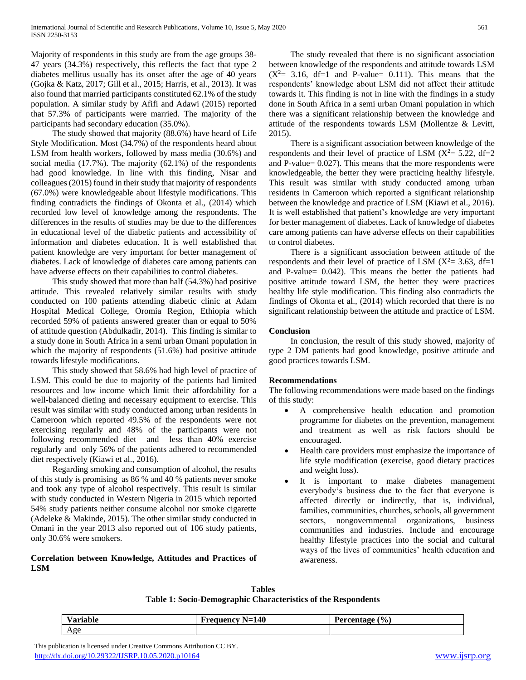Majority of respondents in this study are from the age groups 38- 47 years (34.3%) respectively, this reflects the fact that type 2 diabetes mellitus usually has its onset after the age of 40 years (Gojka & Katz, 2017; Gill et al., 2015; Harris, et al., 2013). It was also found that married participants constituted 62.1% of the study population. A similar study by Afifi and Adawi (2015) reported that 57.3% of participants were married. The majority of the participants had secondary education (35.0%).

 The study showed that majority (88.6%) have heard of Life Style Modification. Most (34.7%) of the respondents heard about LSM from health workers, followed by mass media (30.6%) and social media (17.7%). The majority (62.1%) of the respondents had good knowledge. In line with this finding, Nisar and colleagues (2015) found in their study that majority of respondents (67.0%) were knowledgeable about lifestyle modifications. This finding contradicts the findings of Okonta et al., (2014) which recorded low level of knowledge among the respondents. The differences in the results of studies may be due to the differences in educational level of the diabetic patients and accessibility of information and diabetes education. It is well established that patient knowledge are very important for better management of diabetes. Lack of knowledge of diabetes care among patients can have adverse effects on their capabilities to control diabetes.

 This study showed that more than half (54.3%) had positive attitude. This revealed relatively similar results with study conducted on 100 patients attending diabetic clinic at Adam Hospital Medical College, Oromia Region, Ethiopia which recorded 59% of patients answered greater than or equal to 50% of attitude question (Abdulkadir, 2014). This finding is similar to a study done in South Africa in a semi urban Omani population in which the majority of respondents (51.6%) had positive attitude towards lifestyle modifications.

 This study showed that 58.6% had high level of practice of LSM. This could be due to majority of the patients had limited resources and low income which limit their affordability for a well-balanced dieting and necessary equipment to exercise. This result was similar with study conducted among urban residents in Cameroon which reported 49.5% of the respondents were not exercising regularly and 48% of the participants were not following recommended diet and less than 40% exercise regularly and only 56% of the patients adhered to recommended diet respectively (Kiawi et al., 2016).

 Regarding smoking and consumption of alcohol, the results of this study is promising as 86 % and 40 % patients never smoke and took any type of alcohol respectively. This result is similar with study conducted in Western Nigeria in 2015 which reported 54% study patients neither consume alcohol nor smoke cigarette (Adeleke & Makinde, 2015). The other similar study conducted in Omani in the year 2013 also reported out of 106 study patients, only 30.6% were smokers.

# **Correlation between Knowledge, Attitudes and Practices of LSM**

 The study revealed that there is no significant association between knowledge of the respondents and attitude towards LSM  $(X^2= 3.16, df=1$  and P-value = 0.111. This means that the respondents' knowledge about LSM did not affect their attitude towards it. This finding is not in line with the findings in a study done in South Africa in a semi urban Omani population in which there was a significant relationship between the knowledge and attitude of the respondents towards LSM **(**Mollentze & Levitt, 2015).

 There is a significant association between knowledge of the respondents and their level of practice of LSM  $(X^2 = 5.22, df = 2)$ and P-value= 0.027). This means that the more respondents were knowledgeable, the better they were practicing healthy lifestyle. This result was similar with study conducted among urban residents in Cameroon which reported a significant relationship between the knowledge and practice of LSM (Kiawi et al., 2016). It is well established that patient's knowledge are very important for better management of diabetes. Lack of knowledge of diabetes care among patients can have adverse effects on their capabilities to control diabetes.

 There is a significant association between attitude of the respondents and their level of practice of LSM  $(X^2= 3.63, df=1)$ and P-value= 0.042). This means the better the patients had positive attitude toward LSM, the better they were practices healthy life style modification. This finding also contradicts the findings of Okonta et al., (2014) which recorded that there is no significant relationship between the attitude and practice of LSM.

## **Conclusion**

 In conclusion, the result of this study showed, majority of type 2 DM patients had good knowledge, positive attitude and good practices towards LSM.

# **Recommendations**

The following recommendations were made based on the findings of this study:

- A comprehensive health education and promotion programme for diabetes on the prevention, management and treatment as well as risk factors should be encouraged.
- Health care providers must emphasize the importance of life style modification (exercise, good dietary practices and weight loss).
- It is important to make diabetes management everybody's business due to the fact that everyone is affected directly or indirectly, that is, individual, families, communities, churches, schools, all government sectors, nongovernmental organizations, business communities and industries. Include and encourage healthy lifestyle practices into the social and cultural ways of the lives of communities' health education and awareness.

**Tables Table 1: Socio-Demographic Characteristics of the Respondents**

| . .<br>/ariable<br>. | 140<br>requency<br>$\blacksquare$<br>--<br>$\sim$ | $\frac{1}{2}$<br>Ð<br>$\mathbf{B}$<br>המהי<br>ັ<br>www |
|----------------------|---------------------------------------------------|--------------------------------------------------------|
| Age                  |                                                   |                                                        |

 This publication is licensed under Creative Commons Attribution CC BY. <http://dx.doi.org/10.29322/IJSRP.10.05.2020.p10164> [www.ijsrp.org](http://ijsrp.org/)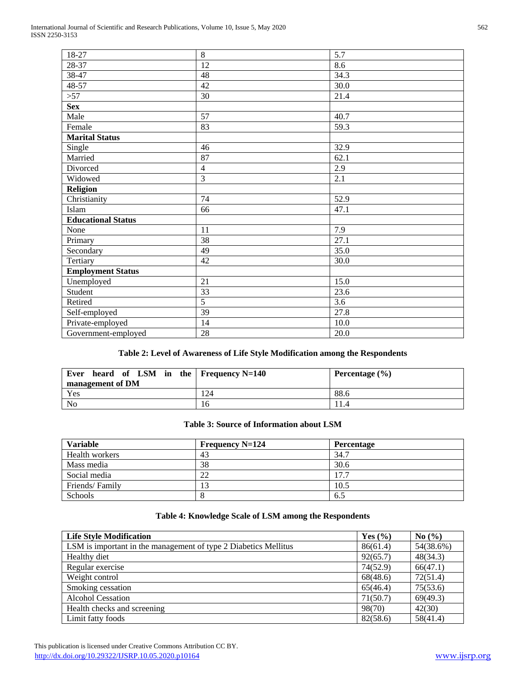| 18-27                     | 8               | 5.7  |
|---------------------------|-----------------|------|
| 28-37                     | 12              | 8.6  |
| 38-47                     | 48              | 34.3 |
| 48-57                     | 42              | 30.0 |
| >57                       | 30              | 21.4 |
| <b>Sex</b>                |                 |      |
| Male                      | 57              | 40.7 |
| Female                    | 83              | 59.3 |
| <b>Marital Status</b>     |                 |      |
| Single                    | 46              | 32.9 |
| Married                   | 87              | 62.1 |
| Divorced                  | $\overline{4}$  | 2.9  |
| Widowed                   | 3               | 2.1  |
| <b>Religion</b>           |                 |      |
| Christianity              | 74              | 52.9 |
| Islam                     | 66              | 47.1 |
| <b>Educational Status</b> |                 |      |
| None                      | 11              | 7.9  |
| Primary                   | 38              | 27.1 |
| Secondary                 | 49              | 35.0 |
| Tertiary                  | 42              | 30.0 |
| <b>Employment Status</b>  |                 |      |
| Unemployed                | 21              | 15.0 |
| Student                   | $\overline{33}$ | 23.6 |
| Retired                   | $\overline{5}$  | 3.6  |
| Self-employed             | 39              | 27.8 |
| Private-employed          | 14              | 10.0 |
| Government-employed       | 28              | 20.0 |
|                           |                 |      |

# **Table 2: Level of Awareness of Life Style Modification among the Respondents**

| heard of LSM in the Frequency $N=140$<br>Ever<br>management of DM |     | Percentage $(\% )$ |
|-------------------------------------------------------------------|-----|--------------------|
| Yes                                                               | 124 | 88.6               |
| No                                                                | 16  |                    |

### **Table 3: Source of Information about LSM**

| <b>Variable</b> | Frequency $N=124$ | Percentage |
|-----------------|-------------------|------------|
| Health workers  | 43                | 34.7       |
| Mass media      | 38                | 30.6       |
| Social media    | 22                | 17.7       |
| Friends/Family  |                   | 10.5       |
| Schools         |                   | 6.5        |

# **Table 4: Knowledge Scale of LSM among the Respondents**

| <b>Life Style Modification</b>                                  | Yes $(\% )$ | No(%)     |
|-----------------------------------------------------------------|-------------|-----------|
| LSM is important in the management of type 2 Diabetics Mellitus | 86(61.4)    | 54(38.6%) |
| Healthy diet                                                    | 92(65.7)    | 48(34.3)  |
| Regular exercise                                                | 74(52.9)    | 66(47.1)  |
| Weight control                                                  | 68(48.6)    | 72(51.4)  |
| Smoking cessation                                               | 65(46.4)    | 75(53.6)  |
| <b>Alcohol Cessation</b>                                        | 71(50.7)    | 69(49.3)  |
| Health checks and screening                                     | 98(70)      | 42(30)    |
| Limit fatty foods                                               | 82(58.6)    | 58(41.4)  |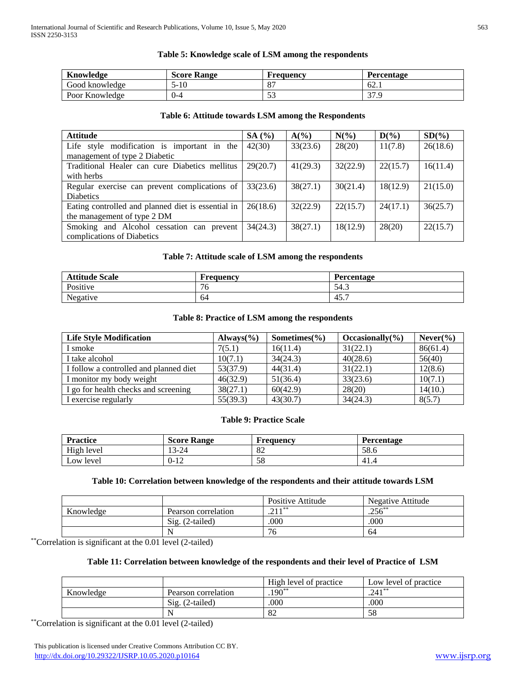## **Table 5: Knowledge scale of LSM among the respondents**

| Knowledge      | <b>Score Range</b> | Frequency           | Percentage                        |
|----------------|--------------------|---------------------|-----------------------------------|
| Good knowledge | 5-10               |                     | $-62.$                            |
| Poor Knowledge | $0 - 4$            | $\sim$ $\sim$<br>ັ້ | $\overline{\phantom{a}}$<br>تن ال |

# **Table 6: Attitude towards LSM among the Respondents**

| <b>Attitude</b>                                    | SA $(%$  | $A(\%)$  | $N(\%)$  | $D(\%)$  | $SD(\%)$ |
|----------------------------------------------------|----------|----------|----------|----------|----------|
| Life style modification is important in the        | 42(30)   | 33(23.6) | 28(20)   | 11(7.8)  | 26(18.6) |
| management of type 2 Diabetic                      |          |          |          |          |          |
| Traditional Healer can cure Diabetics mellitus     | 29(20.7) | 41(29.3) | 32(22.9) | 22(15.7) | 16(11.4) |
| with herbs                                         |          |          |          |          |          |
| Regular exercise can prevent complications of      | 33(23.6) | 38(27.1) | 30(21.4) | 18(12.9) | 21(15.0) |
| <b>Diabetics</b>                                   |          |          |          |          |          |
| Eating controlled and planned diet is essential in | 26(18.6) | 32(22.9) | 22(15.7) | 24(17.1) | 36(25.7) |
| the management of type 2 DM                        |          |          |          |          |          |
| Smoking and Alcohol cessation can prevent          | 34(24.3) | 38(27.1) | 18(12.9) | 28(20)   | 22(15.7) |
| complications of Diabetics                         |          |          |          |          |          |

# **Table 7: Attitude scale of LSM among the respondents**

| <b>Attitude Scale</b> | r requency | Percentage                       |
|-----------------------|------------|----------------------------------|
| Positive              | 76         | 54.3                             |
| Negative              | 64         | $\overline{\phantom{0}}$<br>45., |

## **Table 8: Practice of LSM among the respondents**

| <b>Life Style Modification</b>         | Always $(\% )$ | Sometimes $(\% )$ | Occasionally $(\% )$ | Never( <sub>0</sub> ) |
|----------------------------------------|----------------|-------------------|----------------------|-----------------------|
| I smoke                                | 7(5.1)         | 16(11.4)          | 31(22.1)             | 86(61.4)              |
| I take alcohol                         | 10(7.1)        | 34(24.3)          | 40(28.6)             | 56(40)                |
| I follow a controlled and planned diet | 53(37.9)       | 44(31.4)          | 31(22.1)             | 12(8.6)               |
| I monitor my body weight               | 46(32.9)       | 51(36.4)          | 33(23.6)             | 10(7.1)               |
| I go for health checks and screening   | 38(27.1)       | 60(42.9)          | 28(20)               | 14(10.)               |
| I exercise regularly                   | 55(39.3)       | 43(30.7)          | 34(24.3)             | 8(5.7)                |

# **Table 9: Practice Scale**

| <b>Practice</b>                     | <b>Score Range</b>            | <b>Frequency</b> | Percentage |
|-------------------------------------|-------------------------------|------------------|------------|
| High level                          | 13-24                         | െ<br>ΟŹ          | 58.6       |
| level<br>$\mathsf{L}^{\mathsf{OW}}$ | 1 <sub>0</sub><br>J−<br>. T 7 | ςc<br>J0         | -41.4      |

## **Table 10: Correlation between knowledge of the respondents and their attitude towards LSM**

|           |                          | Positive Attitude | Negative Attitude |
|-----------|--------------------------|-------------------|-------------------|
| Knowledge | Pearson correlation      | $211**$           | $.256***$         |
|           | $\text{Sig.}$ (2-tailed) | .000              | .000              |
|           |                          |                   | 64                |

\*\*Correlation is significant at the 0.01 level (2-tailed)

## **Table 11: Correlation between knowledge of the respondents and their level of Practice of LSM**

|           |                      | High level of practice  | Low level of practice |
|-----------|----------------------|-------------------------|-----------------------|
| Knowledge | Pearson correlation  | $.190**$                | $.241**$              |
|           | $(2-tailed)$<br>Sig. | .000                    | .000                  |
|           |                      | $\mathsf{O} \mathsf{L}$ | 58                    |

\*\*Correlation is significant at the 0.01 level (2-tailed)